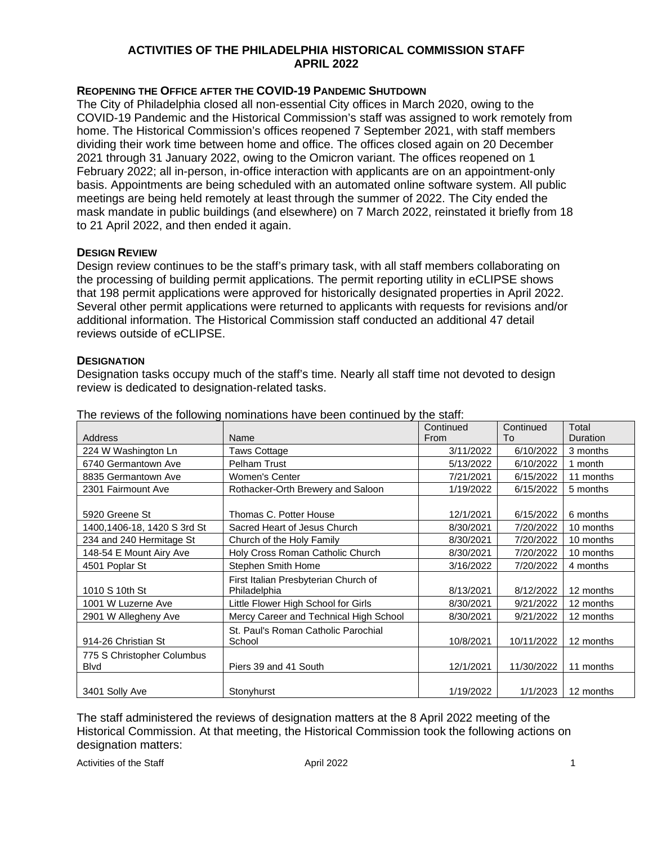# **ACTIVITIES OF THE PHILADELPHIA HISTORICAL COMMISSION STAFF APRIL 2022**

# **REOPENING THE OFFICE AFTER THE COVID-19 PANDEMIC SHUTDOWN**

The City of Philadelphia closed all non-essential City offices in March 2020, owing to the COVID-19 Pandemic and the Historical Commission's staff was assigned to work remotely from home. The Historical Commission's offices reopened 7 September 2021, with staff members dividing their work time between home and office. The offices closed again on 20 December 2021 through 31 January 2022, owing to the Omicron variant. The offices reopened on 1 February 2022; all in-person, in-office interaction with applicants are on an appointment-only basis. Appointments are being scheduled with an automated online software system. All public meetings are being held remotely at least through the summer of 2022. The City ended the mask mandate in public buildings (and elsewhere) on 7 March 2022, reinstated it briefly from 18 to 21 April 2022, and then ended it again.

## **DESIGN REVIEW**

Design review continues to be the staff's primary task, with all staff members collaborating on the processing of building permit applications. The permit reporting utility in eCLIPSE shows that 198 permit applications were approved for historically designated properties in April 2022. Several other permit applications were returned to applicants with requests for revisions and/or additional information. The Historical Commission staff conducted an additional 47 detail reviews outside of eCLIPSE.

#### **DESIGNATION**

Designation tasks occupy much of the staff's time. Nearly all staff time not devoted to design review is dedicated to designation-related tasks.

|                             |                                        | Continued | Continued  | Total     |
|-----------------------------|----------------------------------------|-----------|------------|-----------|
| <b>Address</b>              | Name                                   | From      | To         | Duration  |
| 224 W Washington Ln         | <b>Taws Cottage</b>                    | 3/11/2022 | 6/10/2022  | 3 months  |
| 6740 Germantown Ave         | Pelham Trust                           | 5/13/2022 | 6/10/2022  | 1 month   |
| 8835 Germantown Ave         | Women's Center                         | 7/21/2021 | 6/15/2022  | 11 months |
| 2301 Fairmount Ave          | Rothacker-Orth Brewery and Saloon      | 1/19/2022 | 6/15/2022  | 5 months  |
|                             |                                        |           |            |           |
| 5920 Greene St              | Thomas C. Potter House                 | 12/1/2021 | 6/15/2022  | 6 months  |
| 1400,1406-18, 1420 S 3rd St | Sacred Heart of Jesus Church           | 8/30/2021 | 7/20/2022  | 10 months |
| 234 and 240 Hermitage St    | Church of the Holy Family              | 8/30/2021 | 7/20/2022  | 10 months |
| 148-54 E Mount Airy Ave     | Holy Cross Roman Catholic Church       | 8/30/2021 | 7/20/2022  | 10 months |
| 4501 Poplar St              | Stephen Smith Home                     | 3/16/2022 | 7/20/2022  | 4 months  |
|                             | First Italian Presbyterian Church of   |           |            |           |
| 1010 S 10th St              | Philadelphia                           | 8/13/2021 | 8/12/2022  | 12 months |
| 1001 W Luzerne Ave          | Little Flower High School for Girls    | 8/30/2021 | 9/21/2022  | 12 months |
| 2901 W Allegheny Ave        | Mercy Career and Technical High School | 8/30/2021 | 9/21/2022  | 12 months |
|                             | St. Paul's Roman Catholic Parochial    |           |            |           |
| 914-26 Christian St         | School                                 | 10/8/2021 | 10/11/2022 | 12 months |
| 775 S Christopher Columbus  |                                        |           |            |           |
| <b>B</b> lvd                | Piers 39 and 41 South                  | 12/1/2021 | 11/30/2022 | 11 months |
|                             |                                        |           |            |           |
| 3401 Solly Ave              | Stonyhurst                             | 1/19/2022 | 1/1/2023   | 12 months |

The reviews of the following nominations have been continued by the staff:

The staff administered the reviews of designation matters at the 8 April 2022 meeting of the Historical Commission. At that meeting, the Historical Commission took the following actions on designation matters:

Activities of the Staff **April 2022 1** April 2022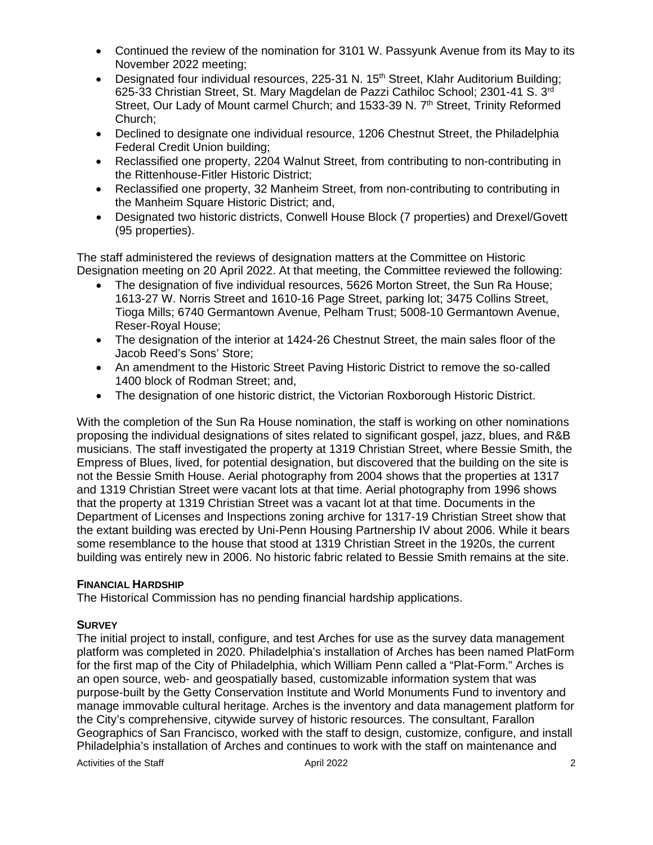- Continued the review of the nomination for 3101 W. Passyunk Avenue from its May to its November 2022 meeting;
- Designated four individual resources, 225-31 N. 15<sup>th</sup> Street, Klahr Auditorium Building; 625-33 Christian Street, St. Mary Magdelan de Pazzi Cathiloc School; 2301-41 S. 3rd Street, Our Lady of Mount carmel Church; and 1533-39 N. 7<sup>th</sup> Street, Trinity Reformed Church;
- Declined to designate one individual resource, 1206 Chestnut Street, the Philadelphia Federal Credit Union building;
- Reclassified one property, 2204 Walnut Street, from contributing to non-contributing in the Rittenhouse-Fitler Historic District;
- Reclassified one property, 32 Manheim Street, from non-contributing to contributing in the Manheim Square Historic District; and,
- Designated two historic districts, Conwell House Block (7 properties) and Drexel/Govett (95 properties).

The staff administered the reviews of designation matters at the Committee on Historic Designation meeting on 20 April 2022. At that meeting, the Committee reviewed the following:

- The designation of five individual resources, 5626 Morton Street, the Sun Ra House; 1613-27 W. Norris Street and 1610-16 Page Street, parking lot; 3475 Collins Street, Tioga Mills; 6740 Germantown Avenue, Pelham Trust; 5008-10 Germantown Avenue, Reser-Royal House;
- The designation of the interior at 1424-26 Chestnut Street, the main sales floor of the Jacob Reed's Sons' Store;
- An amendment to the Historic Street Paving Historic District to remove the so-called 1400 block of Rodman Street; and,
- The designation of one historic district, the Victorian Roxborough Historic District.

With the completion of the Sun Ra House nomination, the staff is working on other nominations proposing the individual designations of sites related to significant gospel, jazz, blues, and R&B musicians. The staff investigated the property at 1319 Christian Street, where Bessie Smith, the Empress of Blues, lived, for potential designation, but discovered that the building on the site is not the Bessie Smith House. Aerial photography from 2004 shows that the properties at 1317 and 1319 Christian Street were vacant lots at that time. Aerial photography from 1996 shows that the property at 1319 Christian Street was a vacant lot at that time. Documents in the Department of Licenses and Inspections zoning archive for 1317-19 Christian Street show that the extant building was erected by Uni-Penn Housing Partnership IV about 2006. While it bears some resemblance to the house that stood at 1319 Christian Street in the 1920s, the current building was entirely new in 2006. No historic fabric related to Bessie Smith remains at the site.

# **FINANCIAL HARDSHIP**

The Historical Commission has no pending financial hardship applications.

## **SURVEY**

Activities of the Staff **April 2022 2** April 2022 The initial project to install, configure, and test Arches for use as the survey data management platform was completed in 2020. Philadelphia's installation of Arches has been named PlatForm for the first map of the City of Philadelphia, which William Penn called a "Plat-Form." Arches is an open source, web- and geospatially based, customizable information system that was purpose-built by the Getty Conservation Institute and World Monuments Fund to inventory and manage immovable cultural heritage. Arches is the inventory and data management platform for the City's comprehensive, citywide survey of historic resources. The consultant, Farallon Geographics of San Francisco, worked with the staff to design, customize, configure, and install Philadelphia's installation of Arches and continues to work with the staff on maintenance and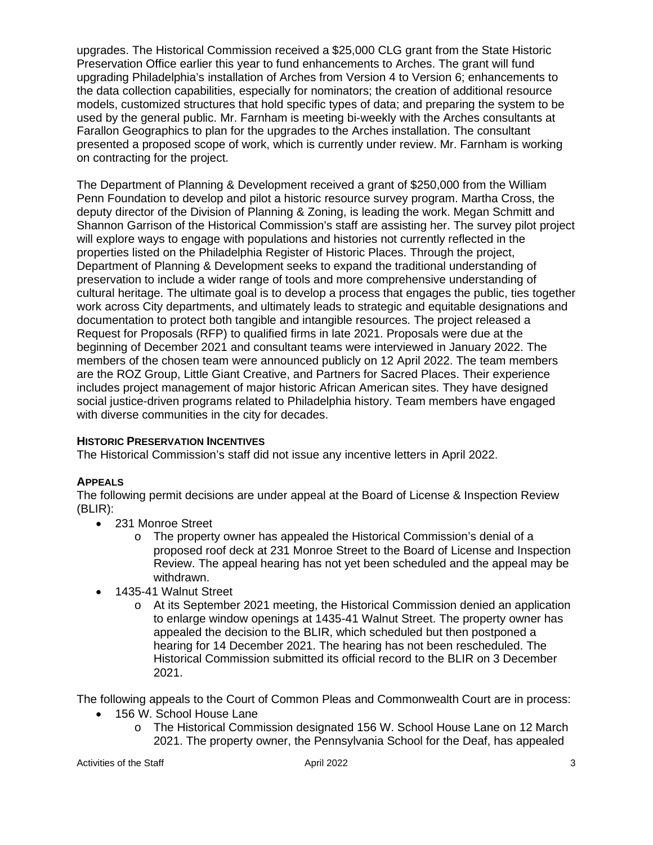upgrades. The Historical Commission received a \$25,000 CLG grant from the State Historic Preservation Office earlier this year to fund enhancements to Arches. The grant will fund upgrading Philadelphia's installation of Arches from Version 4 to Version 6; enhancements to the data collection capabilities, especially for nominators; the creation of additional resource models, customized structures that hold specific types of data; and preparing the system to be used by the general public. Mr. Farnham is meeting bi-weekly with the Arches consultants at Farallon Geographics to plan for the upgrades to the Arches installation. The consultant presented a proposed scope of work, which is currently under review. Mr. Farnham is working on contracting for the project.

The Department of Planning & Development received a grant of \$250,000 from the William Penn Foundation to develop and pilot a historic resource survey program. Martha Cross, the deputy director of the Division of Planning & Zoning, is leading the work. Megan Schmitt and Shannon Garrison of the Historical Commission's staff are assisting her. The survey pilot project will explore ways to engage with populations and histories not currently reflected in the properties listed on the Philadelphia Register of Historic Places. Through the project, Department of Planning & Development seeks to expand the traditional understanding of preservation to include a wider range of tools and more comprehensive understanding of cultural heritage. The ultimate goal is to develop a process that engages the public, ties together work across City departments, and ultimately leads to strategic and equitable designations and documentation to protect both tangible and intangible resources. The project released a Request for Proposals (RFP) to qualified firms in late 2021. Proposals were due at the beginning of December 2021 and consultant teams were interviewed in January 2022. The members of the chosen team were announced publicly on 12 April 2022. The team members are the ROZ Group, Little Giant Creative, and Partners for Sacred Places. Their experience includes project management of major historic African American sites. They have designed social justice-driven programs related to Philadelphia history. Team members have engaged with diverse communities in the city for decades.

# **HISTORIC PRESERVATION INCENTIVES**

The Historical Commission's staff did not issue any incentive letters in April 2022.

# **APPEALS**

The following permit decisions are under appeal at the Board of License & Inspection Review (BLIR):

- 231 Monroe Street
	- o The property owner has appealed the Historical Commission's denial of a proposed roof deck at 231 Monroe Street to the Board of License and Inspection Review. The appeal hearing has not yet been scheduled and the appeal may be withdrawn.
- 1435-41 Walnut Street
	- o At its September 2021 meeting, the Historical Commission denied an application to enlarge window openings at 1435-41 Walnut Street. The property owner has appealed the decision to the BLIR, which scheduled but then postponed a hearing for 14 December 2021. The hearing has not been rescheduled. The Historical Commission submitted its official record to the BLIR on 3 December 2021.

The following appeals to the Court of Common Pleas and Commonwealth Court are in process:

- 156 W. School House Lane
	- o The Historical Commission designated 156 W. School House Lane on 12 March 2021. The property owner, the Pennsylvania School for the Deaf, has appealed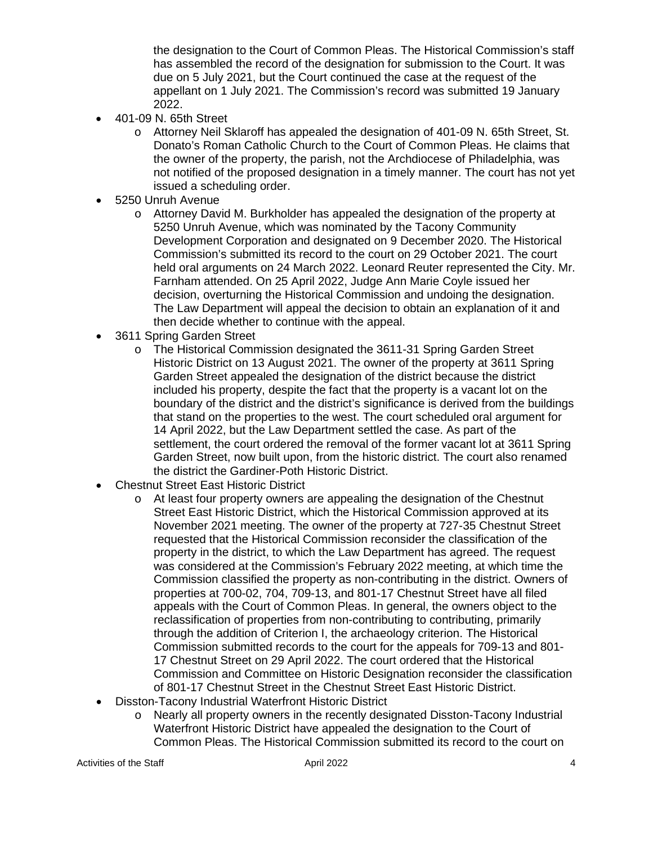the designation to the Court of Common Pleas. The Historical Commission's staff has assembled the record of the designation for submission to the Court. It was due on 5 July 2021, but the Court continued the case at the request of the appellant on 1 July 2021. The Commission's record was submitted 19 January 2022.

- 401-09 N. 65th Street
	- o Attorney Neil Sklaroff has appealed the designation of 401-09 N. 65th Street, St. Donato's Roman Catholic Church to the Court of Common Pleas. He claims that the owner of the property, the parish, not the Archdiocese of Philadelphia, was not notified of the proposed designation in a timely manner. The court has not yet issued a scheduling order.
- 5250 Unruh Avenue
	- $\circ$  Attorney David M. Burkholder has appealed the designation of the property at 5250 Unruh Avenue, which was nominated by the Tacony Community Development Corporation and designated on 9 December 2020. The Historical Commission's submitted its record to the court on 29 October 2021. The court held oral arguments on 24 March 2022. Leonard Reuter represented the City. Mr. Farnham attended. On 25 April 2022, Judge Ann Marie Coyle issued her decision, overturning the Historical Commission and undoing the designation. The Law Department will appeal the decision to obtain an explanation of it and then decide whether to continue with the appeal.
- 3611 Spring Garden Street
	- o The Historical Commission designated the 3611-31 Spring Garden Street Historic District on 13 August 2021. The owner of the property at 3611 Spring Garden Street appealed the designation of the district because the district included his property, despite the fact that the property is a vacant lot on the boundary of the district and the district's significance is derived from the buildings that stand on the properties to the west. The court scheduled oral argument for 14 April 2022, but the Law Department settled the case. As part of the settlement, the court ordered the removal of the former vacant lot at 3611 Spring Garden Street, now built upon, from the historic district. The court also renamed the district the Gardiner-Poth Historic District.
- Chestnut Street East Historic District
	- o At least four property owners are appealing the designation of the Chestnut Street East Historic District, which the Historical Commission approved at its November 2021 meeting. The owner of the property at 727-35 Chestnut Street requested that the Historical Commission reconsider the classification of the property in the district, to which the Law Department has agreed. The request was considered at the Commission's February 2022 meeting, at which time the Commission classified the property as non-contributing in the district. Owners of properties at 700-02, 704, 709-13, and 801-17 Chestnut Street have all filed appeals with the Court of Common Pleas. In general, the owners object to the reclassification of properties from non-contributing to contributing, primarily through the addition of Criterion I, the archaeology criterion. The Historical Commission submitted records to the court for the appeals for 709-13 and 801- 17 Chestnut Street on 29 April 2022. The court ordered that the Historical Commission and Committee on Historic Designation reconsider the classification of 801-17 Chestnut Street in the Chestnut Street East Historic District.
- Disston-Tacony Industrial Waterfront Historic District
	- o Nearly all property owners in the recently designated Disston-Tacony Industrial Waterfront Historic District have appealed the designation to the Court of Common Pleas. The Historical Commission submitted its record to the court on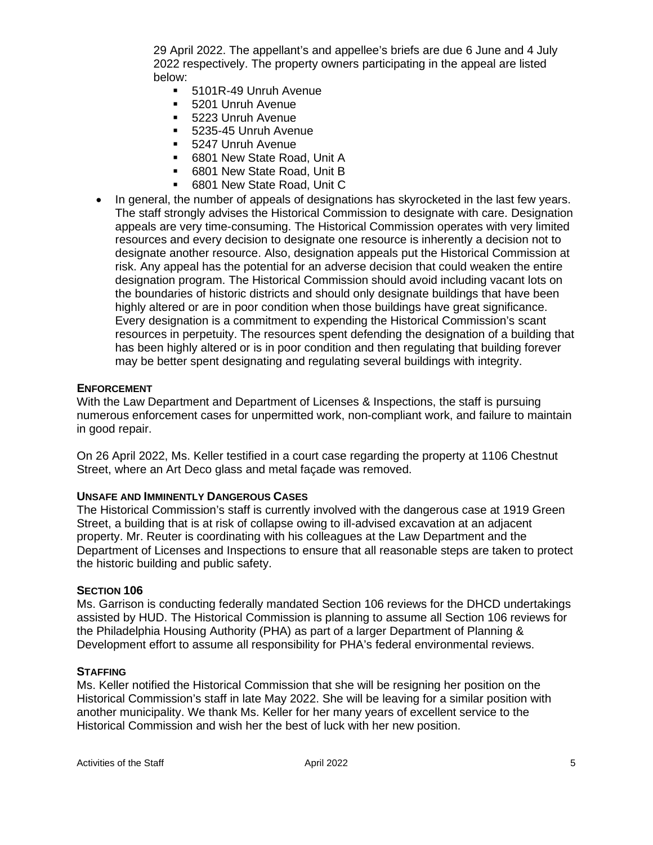29 April 2022. The appellant's and appellee's briefs are due 6 June and 4 July 2022 respectively. The property owners participating in the appeal are listed below:

- 5101R-49 Unruh Avenue
- 5201 Unruh Avenue
- **5223 Unruh Avenue**
- 5235-45 Unruh Avenue
- **5247 Unruh Avenue**
- 6801 New State Road, Unit A
- 6801 New State Road, Unit B
- 6801 New State Road, Unit C
- In general, the number of appeals of designations has skyrocketed in the last few years. The staff strongly advises the Historical Commission to designate with care. Designation appeals are very time-consuming. The Historical Commission operates with very limited resources and every decision to designate one resource is inherently a decision not to designate another resource. Also, designation appeals put the Historical Commission at risk. Any appeal has the potential for an adverse decision that could weaken the entire designation program. The Historical Commission should avoid including vacant lots on the boundaries of historic districts and should only designate buildings that have been highly altered or are in poor condition when those buildings have great significance. Every designation is a commitment to expending the Historical Commission's scant resources in perpetuity. The resources spent defending the designation of a building that has been highly altered or is in poor condition and then regulating that building forever may be better spent designating and regulating several buildings with integrity.

#### **ENFORCEMENT**

With the Law Department and Department of Licenses & Inspections, the staff is pursuing numerous enforcement cases for unpermitted work, non-compliant work, and failure to maintain in good repair.

On 26 April 2022, Ms. Keller testified in a court case regarding the property at 1106 Chestnut Street, where an Art Deco glass and metal façade was removed.

## **UNSAFE AND IMMINENTLY DANGEROUS CASES**

The Historical Commission's staff is currently involved with the dangerous case at 1919 Green Street, a building that is at risk of collapse owing to ill-advised excavation at an adjacent property. Mr. Reuter is coordinating with his colleagues at the Law Department and the Department of Licenses and Inspections to ensure that all reasonable steps are taken to protect the historic building and public safety.

#### **SECTION 106**

Ms. Garrison is conducting federally mandated Section 106 reviews for the DHCD undertakings assisted by HUD. The Historical Commission is planning to assume all Section 106 reviews for the Philadelphia Housing Authority (PHA) as part of a larger Department of Planning & Development effort to assume all responsibility for PHA's federal environmental reviews.

#### **STAFFING**

Ms. Keller notified the Historical Commission that she will be resigning her position on the Historical Commission's staff in late May 2022. She will be leaving for a similar position with another municipality. We thank Ms. Keller for her many years of excellent service to the Historical Commission and wish her the best of luck with her new position.